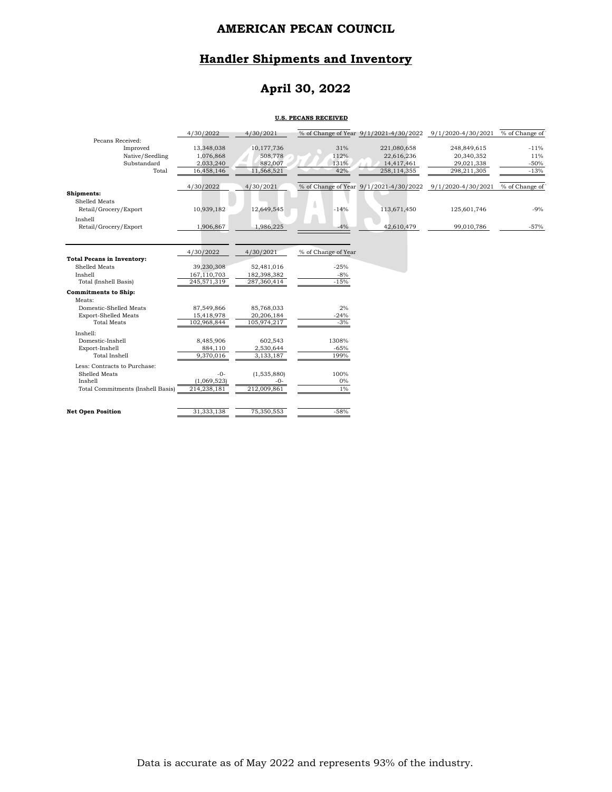# **Handler Shipments and Inventory**

# **April 30, 2022**

#### **U.S. PECANS RECEIVED**

|                                   | 4/30/2022   | 4/30/2021   |                     | % of Change of Year 9/1/2021-4/30/2022 9/1/2020-4/30/2021 |                    | % of Change of |
|-----------------------------------|-------------|-------------|---------------------|-----------------------------------------------------------|--------------------|----------------|
| Pecans Received:                  |             |             |                     |                                                           |                    |                |
| Improved                          | 13,348,038  | 10,177,736  | 31%                 | 221,080,658                                               | 248,849,615        | $-11%$         |
| Native/Seedling                   | 1,076,868   | 508,778     | 112%                | 22,616,236                                                | 20,340,352         | 11%            |
| Substandard<br>Total              | 2,033,240   | 882,007     | 131%                | 14,417,461                                                | 29,021,338         | $-50%$         |
|                                   | 16,458,146  | 11,568,521  | 42%                 | 258,114,355                                               | 298,211,305        | $-13%$         |
|                                   | 4/30/2022   | 4/30/2021   |                     | % of Change of Year 9/1/2021-4/30/2022                    | 9/1/2020-4/30/2021 | % of Change of |
| Shipments:                        |             |             |                     |                                                           |                    |                |
| Shelled Meats                     |             |             |                     |                                                           |                    |                |
| Retail/Grocery/Export             | 10,939,182  | 12,649,545  | ۵<br>$-14%$         | 113,671,450                                               | 125,601,746        | $-9%$          |
| Inshell                           |             |             |                     |                                                           |                    |                |
| Retail/Grocery/Export             | 1,906,867   | 1,986,225   | $-4%$               | 42,610,479                                                | 99,010,786         | $-57%$         |
|                                   |             |             |                     |                                                           |                    |                |
|                                   |             |             |                     |                                                           |                    |                |
|                                   | 4/30/2022   | 4/30/2021   | % of Change of Year |                                                           |                    |                |
| <b>Total Pecans in Inventory:</b> |             |             |                     |                                                           |                    |                |
| Shelled Meats                     | 39,230,308  | 52,481,016  | $-25%$              |                                                           |                    |                |
| Inshell                           | 167,110,703 | 182,398,382 | $-8%$               |                                                           |                    |                |
| Total (Inshell Basis)             | 245,571,319 | 287,360,414 | $-15%$              |                                                           |                    |                |
| <b>Commitments to Ship:</b>       |             |             |                     |                                                           |                    |                |
| Meats:                            |             |             |                     |                                                           |                    |                |
| Domestic-Shelled Meats            | 87,549,866  | 85,768,033  | 2%                  |                                                           |                    |                |
| <b>Export-Shelled Meats</b>       | 15,418,978  | 20,206,184  | $-24%$              |                                                           |                    |                |
| <b>Total Meats</b>                | 102,968,844 | 105,974,217 | $-3%$               |                                                           |                    |                |
| Inshell:                          |             |             |                     |                                                           |                    |                |
| Domestic-Inshell                  | 8,485,906   | 602,543     | 1308%               |                                                           |                    |                |
| Export-Inshell                    | 884,110     | 2,530,644   | $-65%$              |                                                           |                    |                |
| <b>Total Inshell</b>              | 9,370,016   | 3,133,187   | 199%                |                                                           |                    |                |
| Less: Contracts to Purchase:      |             |             |                     |                                                           |                    |                |
| Shelled Meats                     | $-0-$       | (1,535,880) | 100%                |                                                           |                    |                |
| Inshell                           | (1,069,523) | -0-         | $0\%$               |                                                           |                    |                |
| Total Commitments (Inshell Basis) | 214,238,181 | 212,009,861 | $1\%$               |                                                           |                    |                |
|                                   |             |             |                     |                                                           |                    |                |
| <b>Net Open Position</b>          | 31,333,138  | 75,350,553  | $-58%$              |                                                           |                    |                |
|                                   |             |             |                     |                                                           |                    |                |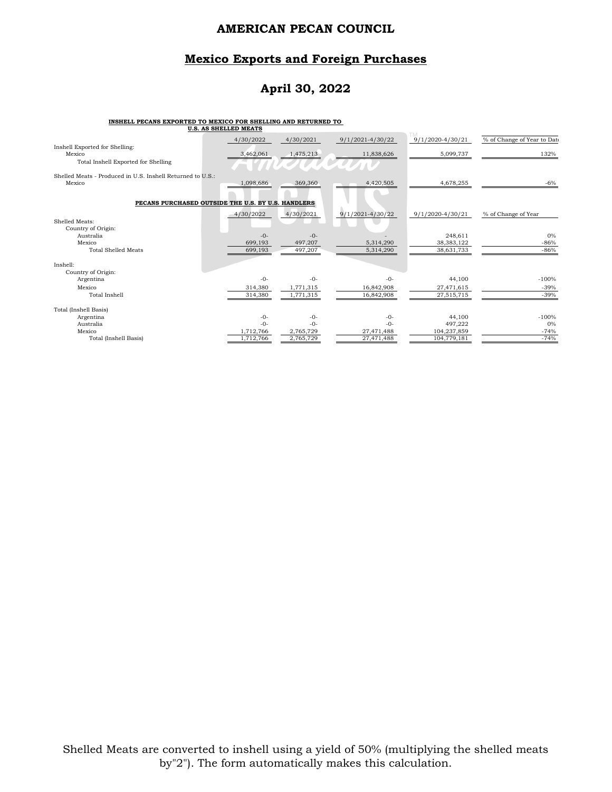### **Mexico Exports and Foreign Purchases**

# **April 30, 2022**

#### **INSHELL PECANS EXPORTED TO MEXICO FOR SHELLING AND RETURNED TO**

|                                                            | <b>U.S. AS SHELLED MEATS</b> |           |                      |                      |                             |
|------------------------------------------------------------|------------------------------|-----------|----------------------|----------------------|-----------------------------|
|                                                            | 4/30/2022                    | 4/30/2021 | 9/1/2021-4/30/22     | $9/1/2020 - 4/30/21$ | % of Change of Year to Date |
| Inshell Exported for Shelling:<br>Mexico                   | 3,462,061                    | 1,475,213 | 11,838,626           | 5,099,737            | 132%                        |
| Total Inshell Exported for Shelling                        |                              |           |                      |                      |                             |
| Shelled Meats - Produced in U.S. Inshell Returned to U.S.: |                              |           |                      |                      |                             |
| Mexico                                                     | 1,098,686                    | 369,360   | 4,420,505            | 4,678,255            | $-6%$                       |
| PECANS PURCHASED OUTSIDE THE U.S. BY U.S. HANDLERS         |                              |           |                      |                      |                             |
|                                                            | 4/30/2022                    | 4/30/2021 | $9/1/2021 - 4/30/22$ | 9/1/2020-4/30/21     | % of Change of Year         |
| Shelled Meats:<br>Country of Origin:                       |                              |           |                      |                      |                             |
| Australia                                                  | $-0-$                        | $-0-$     |                      | 248,611              | $0\%$                       |
| Mexico                                                     | 699,193                      | 497,207   | 5,314,290            | 38, 383, 122         | $-86%$                      |
| <b>Total Shelled Meats</b>                                 | 699,193                      | 497,207   | 5,314,290            | 38,631,733           | $-86%$                      |
| Inshell:                                                   |                              |           |                      |                      |                             |
| Country of Origin:                                         |                              |           |                      |                      |                             |
| Argentina                                                  | $-0-$                        | $-0-$     | $-0-$                | 44,100               | $-100%$                     |
| Mexico                                                     | 314,380                      | 1,771,315 | 16,842,908           | 27,471,615           | $-39%$                      |
| Total Inshell                                              | 314,380                      | 1,771,315 | 16,842,908           | 27,515,715           | $-39%$                      |
| Total (Inshell Basis)                                      |                              |           |                      |                      |                             |
| Argentina                                                  | $-0-$                        | $-0-$     | $-0-$                | 44,100               | $-100%$                     |
| Australia                                                  | $-0-$                        | $-0-$     | $-0-$                | 497,222              | 0%                          |
| Mexico                                                     | 1,712,766                    | 2,765,729 | 27,471,488           | 104,237,859          | $-74%$                      |
| Total (Inshell Basis)                                      | 1,712,766                    | 2,765,729 | 27,471,488           | 104,779,181          | $-74%$                      |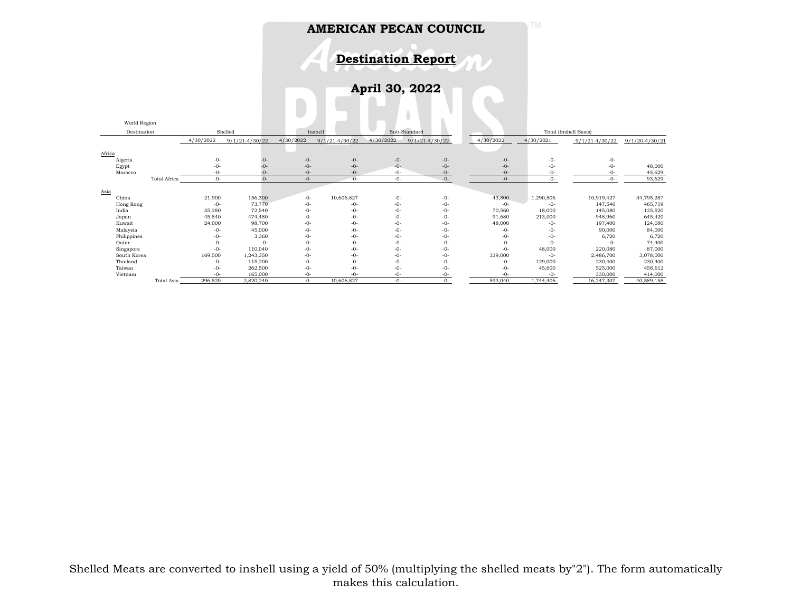TM



**April 30, 2022**

|             | World Region        |           |                    |                         |                    |           |                       |           |           |                    |                    |
|-------------|---------------------|-----------|--------------------|-------------------------|--------------------|-----------|-----------------------|-----------|-----------|--------------------|--------------------|
|             | Destination         | Shelled   |                    | Inshell<br>Sub-Standard |                    |           | Total (Inshell Basis) |           |           |                    |                    |
|             |                     | 4/30/2022 | $9/1/21 - 4/30/22$ | 4/30/2022               | $9/1/21 - 4/30/22$ | 4/30/2022 | $9/1/21 - 4/30/22$    | 4/30/2022 | 4/30/2021 | $9/1/21 - 4/30/22$ | $9/1/20 - 4/30/21$ |
|             |                     |           |                    |                         |                    |           |                       |           |           |                    |                    |
| Africa      |                     |           |                    |                         |                    |           |                       |           |           |                    |                    |
| Algeria     |                     | $-0-$     | -0-                | $-0-$                   | $-0-$              | $-0-$     | $-0-$                 | $-0-$     | $-0-$     | $-0-$              |                    |
| Egypt       |                     | $-0-$     | -0-                | $-0-$                   | $-0-$              | $-0-$     | $-0-$                 | $-0-$     | $-0-$     | $-0-$              | 48,000             |
| Morocco     |                     | -0-       | $-0$               | $-()$ -                 | $-()$ -            | $-0-$     | $-0-$                 | $-0-$     | -0-       | $-0-$              | 45,629             |
|             | <b>Total Africa</b> | $-0-$     | $-0-$              | $-0-$                   | $-0-$              | $-0-$     | $-0-$                 | $-0-$     | -0-       | $-0-$              | 93,629             |
|             |                     |           |                    |                         |                    |           |                       |           |           |                    |                    |
| Asia        |                     |           |                    |                         |                    |           |                       |           |           |                    |                    |
| China       |                     | 21,900    | 156,300            | $-0-$                   | 10,606,827         | $-0-$     | $-0-$                 | 43,800    | 1,290,806 | 10,919,427         | 34,795,287         |
| Hong Kong   |                     | $-0-$     | 73,770             | $-0-$                   | $-0-$              | $-0-$     | $-0-$                 | $-0-$     | $-0-$     | 147,540            | 465,719            |
| India       |                     | 35,280    | 72,540             | -0-                     | $-0-$              | $-0-$     | $-0-$                 | 70,560    | 18,000    | 145,080            | 125,520            |
| Japan       |                     | 45,840    | 474,480            | -0-                     | $-0-$              | $-0-$     | $-0-$                 | 91,680    | 213,000   | 948,960            | 645,420            |
| Kuwait      |                     | 24,000    | 98,700             | $-0-$                   | $-0-$              | $-0-$     | $-0-$                 | 48,000    | $-0-$     | 197,400            | 124,080            |
| Malaysia    |                     | $-0-$     | 45,000             | $-0-$                   | $-0-$              | $-0-$     | $-0-$                 | $-0-$     | $-0-$     | 90,000             | 84,000             |
| Philippines |                     | -0-       | 3,360              | $-0-$                   | $-0-$              | $-0-$     | $-0-$                 | $-0-$     | $-0-$     | 6,720              | 6,720              |
| Qatar       |                     | -0-       | $-0-$              | $-0-$                   | $-0-$              | $-0-$     | $-0-$                 | $-0-$     | $-0-$     | $-0-$              | 74,400             |
| Singapore   |                     | $-0-$     | 110,040            | -0-                     | $-0-$              | $-0-$     | $-0-$                 | $-0-$     | 48,000    | 220,080            | 87,000             |
| South Korea |                     | 169,500   | 1,243,350          | $-0-$                   | $-0-$              | $-0-$     | $-0-$                 | 339,000   | $-0-$     | 2,486,700          | 3,078,000          |
| Thailand    |                     | $-0-$     | 115,200            | $-0-$                   | $-0-$              | $-0-$     | $-0-$                 | $-0-$     | 129,000   | 230,400            | 230,400            |
| Taiwan      |                     | $-0-$     | 262,500            | $-0-$                   | $-0-$              | $-0-$     | $-0-$                 | $-0-$     | 45,600    | 525,000            | 458,612            |
| Vietnam     |                     | $-0-$     | 165,000            | $-0-$                   | -0-                | $-0-$     | $-0-$                 | $-0-$     | $-0-$     | 330,000            | 414,000            |
|             | Total Asia          | 296,520   | 2,820,240          | $-0-$                   | 10,606,827         | $-0-$     | $-0-$                 | 593,040   | 1,744,406 | 16,247,307         | 40,589,158         |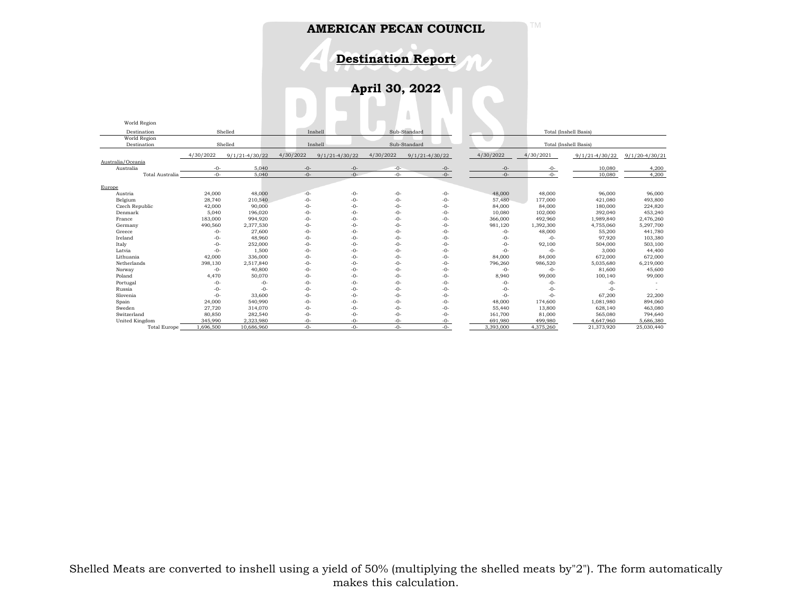**Destination Report**

TM

 $\mathbf{r}$ 

**April 30, 2022**

| World Region        |           |                    |           |                         |           |                    |           |                       |                       |                    |  |  |
|---------------------|-----------|--------------------|-----------|-------------------------|-----------|--------------------|-----------|-----------------------|-----------------------|--------------------|--|--|
| Destination         |           | Shelled            |           | Sub-Standard<br>Inshell |           |                    |           | Total (Inshell Basis) |                       |                    |  |  |
| World Region        |           |                    |           |                         |           |                    |           |                       |                       |                    |  |  |
| Destination         |           | Shelled            | Inshell   |                         |           | Sub-Standard       |           |                       | Total (Inshell Basis) |                    |  |  |
|                     | 4/30/2022 | $9/1/21 - 4/30/22$ | 4/30/2022 | $9/1/21 - 4/30/22$      | 4/30/2022 | $9/1/21 - 4/30/22$ | 4/30/2022 | 4/30/2021             | $9/1/21 - 4/30/22$    | $9/1/20 - 4/30/21$ |  |  |
| Australia/Oceania   |           |                    |           |                         |           |                    |           |                       |                       |                    |  |  |
| Australia           | $-0-$     | 5.040              | $-0-$     | $-0-$                   | $-0-$     | $-0-$              | $-0-$     | $-0-$                 | 10.080                | 4,200              |  |  |
| Total Australia     | $-()$ -   | 5.040              | $-0-$     | $-()$ -                 | $-0-$     | $-0-$              | $-0-$     | $-0-$                 | 10,080                | 4,200              |  |  |
|                     |           |                    |           |                         |           |                    |           |                       |                       |                    |  |  |
| Europe              |           |                    |           |                         |           |                    |           |                       |                       |                    |  |  |
| Austria             | 24,000    | 48,000             | $-0-$     | $-0-$                   | $-0-$     | $-0-$              | 48,000    | 48,000                | 96,000                | 96,000             |  |  |
| Belgium             | 28,740    | 210,540            | $-0-$     | $-0-$                   | $-0-$     | $-0-$              | 57,480    | 177,000               | 421,080               | 493,800            |  |  |
| Czech Republic      | 42,000    | 90,000             | $-0-$     | $-0-$                   | -0-       | $-0-$              | 84,000    | 84,000                | 180,000               | 224,820            |  |  |
| Denmark             | 5,040     | 196,020            | $-0-$     | $-0-$                   | -0-       | $-0-$              | 10,080    | 102,000               | 392,040               | 453,240            |  |  |
| France              | 183,000   | 994,920            | $-0-$     | $-0-$                   | -0-       | $-0-$              | 366,000   | 492,960               | 1,989,840             | 2,476,260          |  |  |
| Germany             | 490,560   | 2,377,530          | $-0-$     | $-0-$                   | -0-       | $-0-$              | 981,120   | 1,392,300             | 4,755,060             | 5,297,700          |  |  |
| Greece              | $-0-$     | 27,600             | $-0-$     | $-0-$                   | -0-       | $-0-$              | $-0-$     | 48,000                | 55,200                | 441,780            |  |  |
| Ireland             | $-0-$     | 48,960             | $-0-$     | $-0-$                   | $-0-$     | $-0-$              | $-0-$     | $-0-$                 | 97,920                | 103,380            |  |  |
| Italy               | $-0-$     | 252,000            | $-0-$     | $-0-$                   | -0-       | $-0-$              | $-0-$     | 92,100                | 504,000               | 503,100            |  |  |
| Latvia              | $-0-$     | 1,500              | $-0-$     | $-()$ -                 | $-0-$     | $-0-$              | $-0-$     | $-0-$                 | 3,000                 | 44,400             |  |  |
| Lithuania           | 42,000    | 336,000            | $-0-$     | $-0-$                   | -0-       | $-0-$              | 84,000    | 84,000                | 672,000               | 672,000            |  |  |
| Netherlands         | 398,130   | 2,517,840          | $-0-$     | $-0-$                   | $-0-$     | $-0-$              | 796,260   | 986,520               | 5,035,680             | 6,219,000          |  |  |
| Norway              | $-0-$     | 40,800             | $-0-$     | $-0-$                   | -0-       | $-0-$              | $-0-$     | $-0-$                 | 81,600                | 45,600             |  |  |
| Poland              | 4,470     | 50,070             | $-0-$     | $-0-$                   | -0-       | $-0-$              | 8,940     | 99,000                | 100,140               | 99,000             |  |  |
| Portugal            | $-0-$     | $-0-$              | $-0-$     | $-0-$                   | $-0-$     | $-0-$              | $-0-$     | $-0-$                 | -0-                   |                    |  |  |
| Russia              | $-0-$     | $-0-$              | $-0-$     | $-0-$                   | -0-       | $-0-$              | $-0-$     | $-0-$                 | $-0-$                 |                    |  |  |
| Slovenia            | $-0-$     | 33,600             | $-0-$     | $-0-$                   | -0-       | $-0-$              | $-0-$     | $-0-$                 | 67,200                | 22,200             |  |  |
| Spain               | 24,000    | 540,990            | $-0-$     | $-0-$                   | $-0-$     | $-0-$              | 48,000    | 174,600               | 1,081,980             | 894,060            |  |  |
| Sweden              | 27,720    | 314,070            | $-0-$     | $-0-$                   | $-0-$     | $-0-$              | 55,440    | 13,800                | 628,140               | 463,080            |  |  |
| Switzerland         | 80,850    | 282,540            | $-0-$     | $-0-$                   | -0-       | $-0-$              | 161,700   | 81,000                | 565,080               | 794,640            |  |  |
| United Kingdom      | 345.990   | 2,323,980          | $-0-$     | $-0-$                   | -0-       | $-0-$              | 691.980   | 499,980               | 4.647.960             | 5,686,380          |  |  |
| <b>Total Europe</b> | 1.696.500 | 10.686.960         | $-()$ -   | $-()$ -                 | $-0-$     | $-0-$              | 3.393.000 | 4,375,260             | 21,373,920            | 25,030,440         |  |  |